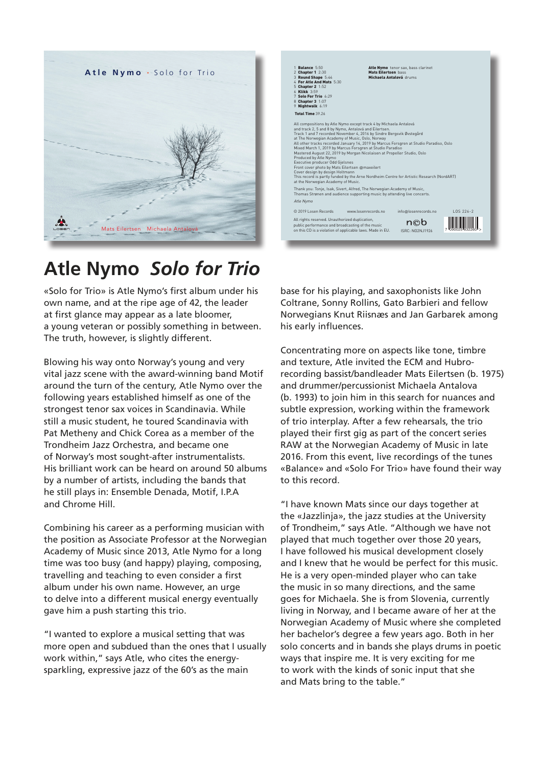



## Solo for Ti Atle Nymo *Solo for Trio*

«Solo for Trio» is Atle Nymo's first album under his own name, and at the ripe age of 42, the leader at first glance may appear as a late bloomer, a young veteran or possibly something in between. The truth, however, is slightly different. heard on around 50 albums by a number trio interplay. After a few rehearsals, the trio

Blowing his way onto Norway's young and very vital jazz scene with the award-winning band Motif around the turn of the century, Atle Nymo over the following years established himself as one of the strongest tenor sax voices in Scandinavia. While still a music student, he toured Scandinavia with Pat Metheny and Chick Corea as a member of the Trondheim Jazz Orchestra, and became one of Norway's most sought-after instrumentalists. His brilliant work can be heard on around 50 albums by a number of artists, including the bands that he still plays in: Ensemble Denada, Motif, I.P.A and Chrome Hill. al jazz scene with the

Combining his career as a performing musician with the position as Associate Professor at the Norwegian Academy of Music since 2013, Atle Nymo for a long time was too busy (and happy) playing, composing, travelling and teaching to even consider a first album under his own name. However, an urge to delve into a different musical energy eventually gave him a push starting this trio.

"I wanted to explore a musical setting that was more open and subdued than the ones that I usually work within," says Atle, who cites the energysparkling, expressive jazz of the 60's as the main

base for his playing, and saxophonists like John Coltrane, Sonny Rollins, Gato Barbieri and fellow Norwegians Knut Riisnæs and Jan Garbarek among his early influences.

Concentrating more on aspects like tone, timbre and texture, Atle invited the ECM and Hubrorecording bassist/bandleader Mats Eilertsen (b. 1975) and drummer/percussionist Michaela Antalova (b. 1993) to join him in this search for nuances and subtle expression, working within the framework of trio interplay. After a few rehearsals, the trio played their first gig as part of the concert series RAW at the Norwegian Academy of Music in late 2016. From this event, live recordings of the tunes «Balance» and «Solo For Trio» have found their way to this record. 993) to join him in

"I have known Mats since our days together at the «Jazzlinja», the jazz studies at the University of Trondheim," says Atle. "Although we have not played that much together over those 20 years, I have followed his musical development closely and I knew that he would be perfect for this music. He is a very open-minded player who can take the music in so many directions, and the same goes for Michaela. She is from Slovenia, currently living in Norway, and I became aware of her at the Norwegian Academy of Music where she completed her bachelor's degree a few years ago. Both in her solo concerts and in bands she plays drums in poetic ways that inspire me. It is very exciting for me to work with the kinds of sonic input that she and Mats bring to the table."